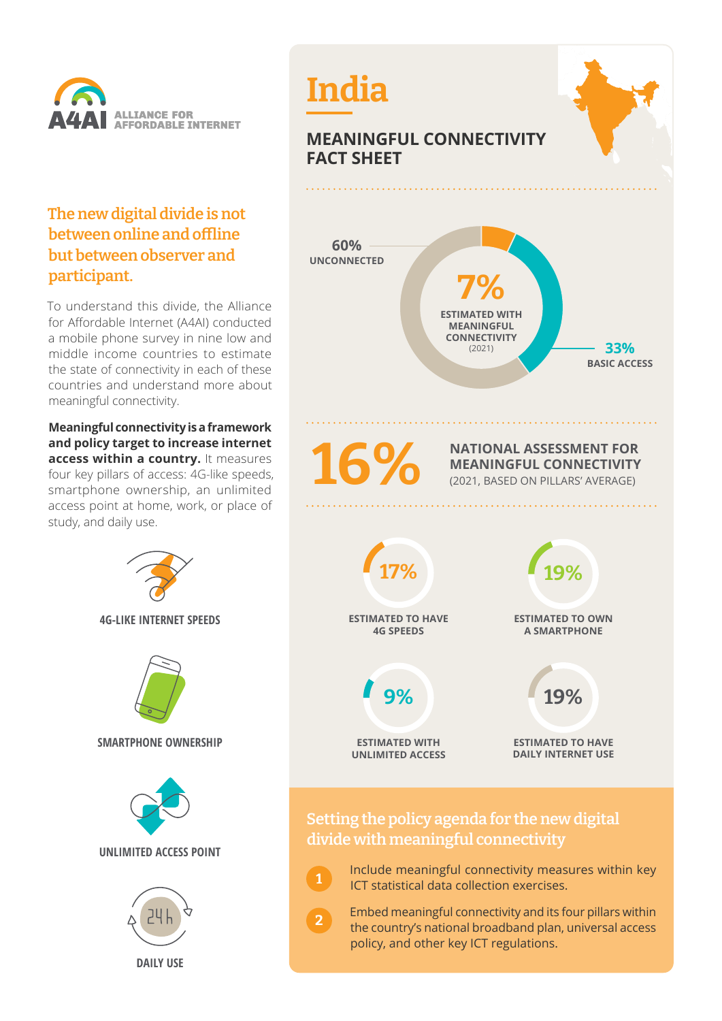

## **The new digital divide is not between online and offline but between observer and participant.**

To understand this divide, the Alliance for Affordable Internet (A4AI) conducted a mobile phone survey in nine low and middle income countries to estimate the state of connectivity in each of these countries and understand more about meaningful connectivity.

**Meaningful connectivity is a framework and policy target to increase internet access within a country.** It measures four key pillars of access: 4G-like speeds, smartphone ownership, an unlimited access point at home, work, or place of study, and daily use.





 Embed meaningful connectivity and its four pillars within the country's national broadband plan, universal access policy, and other key ICT regulations.

**2**